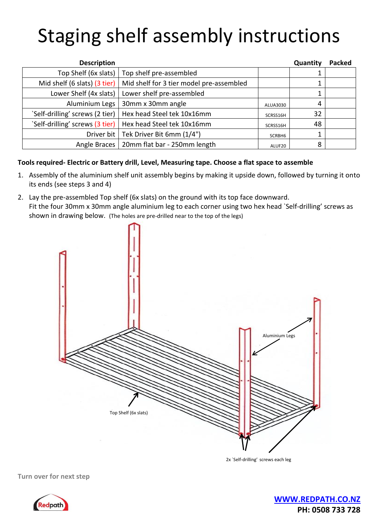## Staging shelf assembly instructions

| <b>Description</b>              |                                          |          | Quantity | <b>Packed</b> |
|---------------------------------|------------------------------------------|----------|----------|---------------|
| Top Shelf (6x slats)            | Top shelf pre-assembled                  |          |          |               |
| Mid shelf (6 slats) (3 tier)    | Mid shelf for 3 tier model pre-assembled |          |          |               |
| Lower Shelf (4x slats)          | Lower shelf pre-assembled                |          |          |               |
| Aluminium Legs                  | 30mm x 30mm angle                        | ALUA3030 | 4        |               |
| 'Self-drilling' screws (2 tier) | Hex head Steel tek 10x16mm               | SCRSS16H | 32       |               |
| `Self-drilling' screws (3 tier) | Hex head Steel tek 10x16mm               | SCRSS16H | 48       |               |
| Driver bit                      | Tek Driver Bit 6mm (1/4")                | SCRBH6   |          |               |
| Angle Braces                    | 20mm flat bar - 250mm length             | ALUF20   | 8        |               |

## **Tools required- Electric or Battery drill, Level, Measuring tape. Choose a flat space to assemble**

- 1. Assembly of the aluminium shelf unit assembly begins by making it upside down, followed by turning it onto its ends (see steps 3 and 4)
- 2. Lay the pre-assembled Top shelf (6x slats) on the ground with its top face downward. Fit the four 30mm x 30mm angle aluminium leg to each corner using two hex head `Self-drilling' screws as shown in drawing below. (The holes are pre-drilled near to the top of the legs)



2x `Self-drilling' screws each leg

**Turn over for next step**